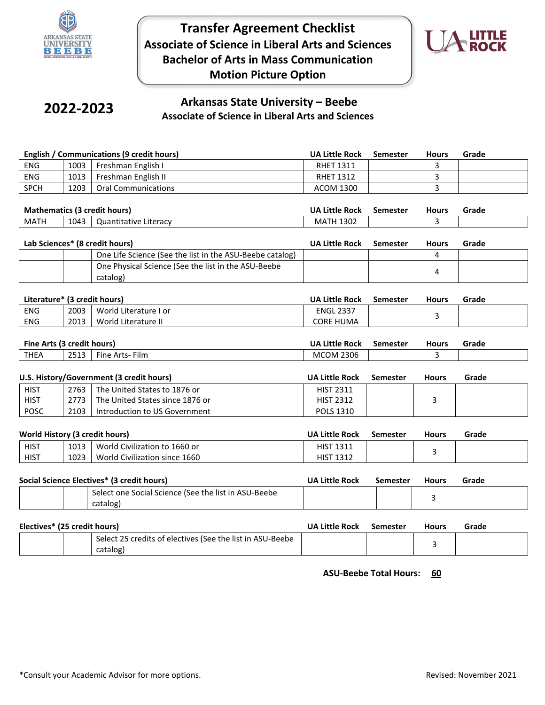

**Transfer Agreement Checklist Associate of Science in Liberal Arts and Sciences Bachelor of Arts in Mass Communication Motion Picture Option**



# **2022-2023**

## **Arkansas State University – Beebe Associate of Science in Liberal Arts and Sciences**

| <b>English / Communications (9 credit hours)</b> |      | <b>UA Little Rock</b> | Semester         | <b>Hours</b> | Grade |  |
|--------------------------------------------------|------|-----------------------|------------------|--------------|-------|--|
| <b>ENG</b>                                       | 1003 | Freshman English I    | <b>RHET 1311</b> |              |       |  |
| <b>ENG</b>                                       | 1013 | Freshman English II   | <b>RHET 1312</b> |              |       |  |
| <b>SPCH</b>                                      | 1203 | Oral Communications   | ACOM 1300        |              |       |  |

| <b>Mathematics (3)</b><br>credit hours) ا |      |                          | <b>UA Little</b><br>Rock | Semester | Hours | Grade |
|-------------------------------------------|------|--------------------------|--------------------------|----------|-------|-------|
| MATH                                      | 1043 | Literacv<br>Quantitative | 1302<br>MA <sup>-</sup>  |          |       |       |

| Lab Sciences* (8 credit hours) |  | UA Little Rock                                                  | Semester | <b>Hours</b> | Grade |  |
|--------------------------------|--|-----------------------------------------------------------------|----------|--------------|-------|--|
|                                |  | One Life Science (See the list in the ASU-Beebe catalog)        |          |              |       |  |
|                                |  | One Physical Science (See the list in the ASU-Beebe<br>catalog) |          |              |       |  |

| Literature* (3 credit hours) |      | <b>UA Little Rock</b> | Semester         | <b>Hours</b> | Grade |  |
|------------------------------|------|-----------------------|------------------|--------------|-------|--|
| <b>ENG</b>                   | 2003 | World Literature I or | <b>ENGL 2337</b> |              |       |  |
| <b>ENG</b>                   | 2013 | World Literature II   | <b>CORE HUMA</b> |              |       |  |

| Fine Arts (3 credit hours) |              |                    | <b>UA Little Rock</b> | Semester | Hours | Grade |
|----------------------------|--------------|--------------------|-----------------------|----------|-------|-------|
| <b>THEA</b>                | 2512<br>2513 | Film<br>Fine Arts- | 2306<br><b>MCOM</b>   |          |       |       |

| U.S. History/Government (3 credit hours) |        | <b>UA Little Rock</b>           | Semester         | <b>Hours</b> | Grade |  |
|------------------------------------------|--------|---------------------------------|------------------|--------------|-------|--|
| <b>HIST</b>                              | 2763   | The United States to 1876 or    | <b>HIST 2311</b> |              |       |  |
| <b>HIST</b>                              | 2773 L | The United States since 1876 or | <b>HIST 2312</b> |              |       |  |
| <b>POSC</b>                              | 2103   | Introduction to US Government   | <b>POLS 1310</b> |              |       |  |

| World History (3 credit hours) |      | <b>UA Little Rock</b>         | Semester         | Hours | Grade |  |
|--------------------------------|------|-------------------------------|------------------|-------|-------|--|
| <b>HIST</b>                    | 1013 | World Civilization to 1660 or | <b>HIST 1311</b> |       |       |  |
| <b>HIST</b>                    | 1023 | World Civilization since 1660 | <b>HIST 1312</b> |       |       |  |

| Social Science Electives* (3 credit hours)           | <b>UA Little Rock</b> | Semester | <b>Hours</b> | Grade |
|------------------------------------------------------|-----------------------|----------|--------------|-------|
| Select one Social Science (See the list in ASU-Beebe |                       |          |              |       |
| catalog)                                             |                       |          |              |       |

| Electives* (25 credit hours)                              | <b>UA Little Rock</b> | Semester | <b>Hours</b> | Grade |
|-----------------------------------------------------------|-----------------------|----------|--------------|-------|
| Select 25 credits of electives (See the list in ASU-Beebe |                       |          |              |       |
| catalog)                                                  |                       |          |              |       |

**ASU-Beebe Total Hours: 60**